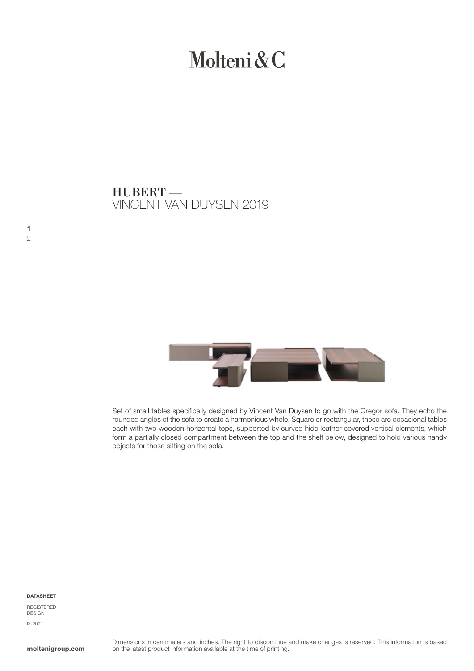# Molteni & C

VINCENT VAN DUYSEN 2019 HUBERT —



Set of small tables specifically designed by Vincent Van Duysen to go with the Gregor sofa. They echo the rounded angles of the sofa to create a harmonious whole. Square or rectangular, these are occasional tables each with two wooden horizontal tops, supported by curved hide leather-covered vertical elements, which form a partially closed compartment between the top and the shelf below, designed to hold various handy objects for those sitting on the sofa.

#### DATASHEET

 $1-$ 2

REGISTERED DESIGN IX.2021

moltenigroup.com